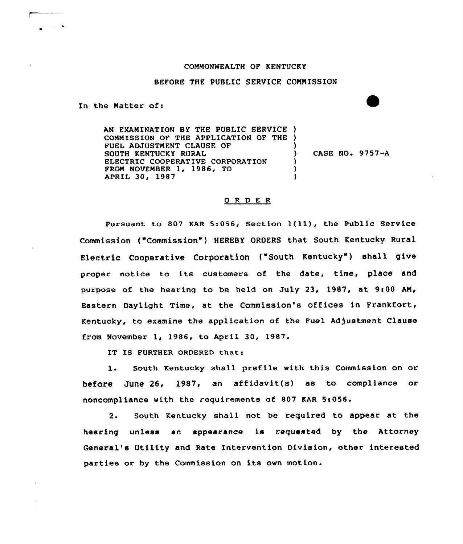## CONNONWEALTH OF KENTUCKY

## BEFORE THE PUBLIC SERVICE CONNISSION

In the Natter of:

AN EXANINATION BY THE PUBLIC SERVICE ) CONNISSION OF THE APPLICATION OF THE ) FUEL ADJUSTNENT CLAUSE OF SOUTH KENTUCKY RURAL ELECTRIC COOPERATIVE CORPORATION FRON NOVENBER 1, 1986, TO APRIL 30, 1987 ) ) CASE NO. 9757-A ) ) )

## O R D E R

Pursuant to 807 KAR 5:056, Section  $1(11)$ , the Public Service Commission {"Commission") HEREBY ORDERS that South Kentucky Rural Electric Cooperative Corporation ("South Kentucky") shall give proper notice to its customers of the date, time, place and purpose of the hearing to be held on July 23, 1987, at 9:00 AM, Eastern Daylight Time, at the Commission's offices in Frankfort, Kentucky, to examine the application of the Fuel Adjustment Clause from November 1, 1986, to April 30, 1987.

IT IS FURTHER ORDERED that:

1. South Kentucky shall prefile with this Commission on or before June 26, 1987, an affidavit(s) as to compliance or noncompliance with the requirements of 807 KAR 5:056.

2. South Kentucky shall not be required to appear at the hearing unless an appearance is requested by the Attorney General's Utility and Rate Intervention Division, other interested parties or by the Commission on its own motion.